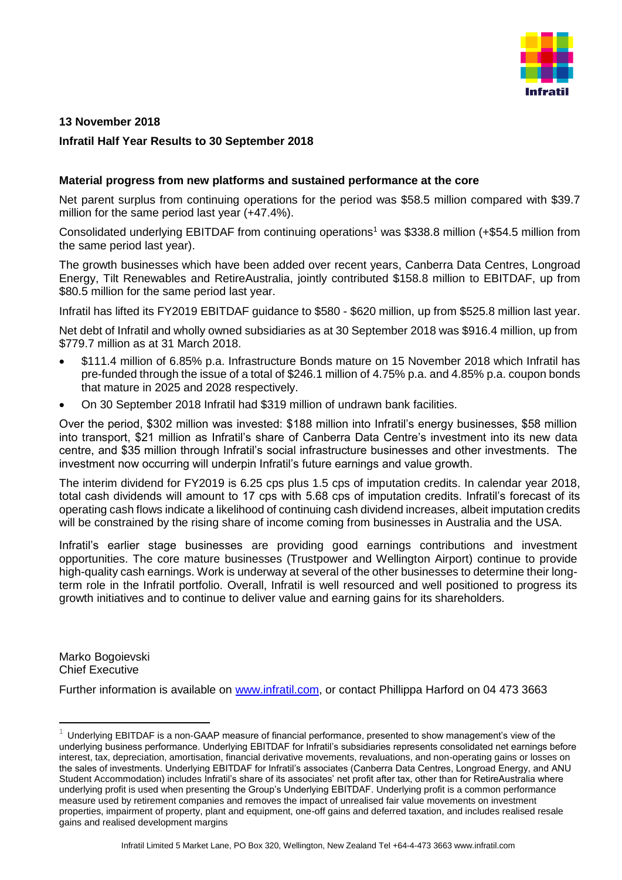

# **13 November 2018**

## **Infratil Half Year Results to 30 September 2018**

#### **Material progress from new platforms and sustained performance at the core**

Net parent surplus from continuing operations for the period was \$58.5 million compared with \$39.7 million for the same period last year (+47.4%).

Consolidated underlying EBITDAF from continuing operations<sup>1</sup> was \$338.8 million (+\$54.5 million from the same period last year).

The growth businesses which have been added over recent years, Canberra Data Centres, Longroad Energy, Tilt Renewables and RetireAustralia, jointly contributed \$158.8 million to EBITDAF, up from \$80.5 million for the same period last year.

Infratil has lifted its FY2019 EBITDAF guidance to \$580 - \$620 million, up from \$525.8 million last year.

Net debt of Infratil and wholly owned subsidiaries as at 30 September 2018 was \$916.4 million, up from \$779.7 million as at 31 March 2018.

- \$111.4 million of 6.85% p.a. Infrastructure Bonds mature on 15 November 2018 which Infratil has pre-funded through the issue of a total of \$246.1 million of 4.75% p.a. and 4.85% p.a. coupon bonds that mature in 2025 and 2028 respectively.
- On 30 September 2018 Infratil had \$319 million of undrawn bank facilities.

Over the period, \$302 million was invested: \$188 million into Infratil's energy businesses, \$58 million into transport, \$21 million as Infratil's share of Canberra Data Centre's investment into its new data centre, and \$35 million through Infratil's social infrastructure businesses and other investments. The investment now occurring will underpin Infratil's future earnings and value growth.

The interim dividend for FY2019 is 6.25 cps plus 1.5 cps of imputation credits. In calendar year 2018, total cash dividends will amount to 17 cps with 5.68 cps of imputation credits. Infratil's forecast of its operating cash flows indicate a likelihood of continuing cash dividend increases, albeit imputation credits will be constrained by the rising share of income coming from businesses in Australia and the USA.

Infratil's earlier stage businesses are providing good earnings contributions and investment opportunities. The core mature businesses (Trustpower and Wellington Airport) continue to provide high-quality cash earnings. Work is underway at several of the other businesses to determine their longterm role in the Infratil portfolio. Overall, Infratil is well resourced and well positioned to progress its growth initiatives and to continue to deliver value and earning gains for its shareholders.

Marko Bogoievski Chief Executive

-

Further information is available on [www.infratil.com,](http://www.infratil.com/) or contact Phillippa Harford on 04 473 3663

<sup>1</sup> Underlying EBITDAF is a non-GAAP measure of financial performance, presented to show management's view of the underlying business performance. Underlying EBITDAF for Infratil's subsidiaries represents consolidated net earnings before interest, tax, depreciation, amortisation, financial derivative movements, revaluations, and non-operating gains or losses on the sales of investments. Underlying EBITDAF for Infratil's associates (Canberra Data Centres, Longroad Energy, and ANU Student Accommodation) includes Infratil's share of its associates' net profit after tax, other than for RetireAustralia where underlying profit is used when presenting the Group's Underlying EBITDAF. Underlying profit is a common performance measure used by retirement companies and removes the impact of unrealised fair value movements on investment properties, impairment of property, plant and equipment, one-off gains and deferred taxation, and includes realised resale gains and realised development margins